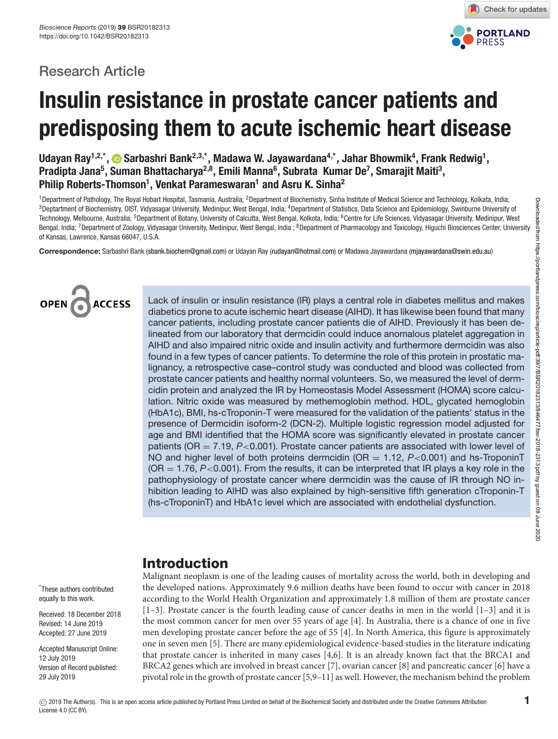# **Research Article**



# **Insulin resistance in prostate cancer patients and predisposing them to acute ischemic heart disease**

Udayan Ray<sup>1,2,\*</sup>, �� Sarbashri Bank<sup>2,3,\*</sup>, Madawa W. Jayawardana<sup>4,\*</sup>, Jahar Bhowmik<sup>4</sup>, Frank Redwig<sup>1</sup>, Pradipta Jana<sup>5</sup>, Suman Bhattacharya<sup>2,8</sup>, Emili Manna<sup>6</sup>, Subrata Kumar De<sup>7</sup>, Smarajit Maiti<sup>3</sup>, **Philip Roberts-Thomson1 , Venkat Parameswaran1 and Asru K. Sinha2**

<sup>1</sup> Department of Pathology, The Royal Hobart Hospital, Tasmania, Australia; <sup>2</sup> Department of Biochemistry, Sinha Institute of Medical Science and Technology, Kolkata, India; <sup>3</sup> Deptartment of Biochemistry, OIST, Vidyasagar University, Medinipur, West Bengal, India; <sup>4</sup> Department of Statistics, Data Science and Epidemiology, Swinburne University of Technology, Melbourne, Australia; <sup>5</sup>Department of Botany, University of Calcutta, West Bengal, Kolkota, India; <sup>6</sup>Centre for Life Sciences, Vidyasagar University, Medinipur, West Bengal, India; <sup>7</sup>Department of Zoology, Vidyasagar University, Medinipur, West Bengal, India; <sup>8</sup>Department of Pharmacology and Toxicology, Higuchi Biosciences Center, University of Kansas, Lawrence, Kansas 66047, U.S.A.

**Correspondence:** Sarbashri Bank [\(sbank.biochem@gmail.com\)](mailto:sbank.biochem@gmail.com) or Udayan Ray [\(rudayan@hotmail.com\)](mailto:rudayan@hotmail.com) or Madawa Jayawardana [\(mjayawardana@swin.edu.au\)](mailto:mjayawardana@swin.edu.au)



Lack of insulin or insulin resistance (IR) plays a central role in diabetes mellitus and makes diabetics prone to acute ischemic heart disease (AIHD). It has likewise been found that many cancer patients, including prostate cancer patients die of AIHD. Previously it has been delineated from our laboratory that dermcidin could induce anomalous platelet aggregation in AIHD and also impaired nitric oxide and insulin activity and furthermore dermcidin was also found in a few types of cancer patients. To determine the role of this protein in prostatic malignancy, a retrospective case–control study was conducted and blood was collected from prostate cancer patients and healthy normal volunteers. So, we measured the level of dermcidin protein and analyzed the IR by Homeostasis Model Assessment (HOMA) score calculation. Nitric oxide was measured by methemoglobin method. HDL, glycated hemoglobin (HbA1c), BMI, hs-cTroponin-T were measured for the validation of the patients' status in the presence of Dermcidin isoform-2 (DCN-2). Multiple logistic regression model adjusted for age and BMI identified that the HOMA score was significantly elevated in prostate cancer patients ( $OR = 7.19$ ,  $P < 0.001$ ). Prostate cancer patients are associated with lower level of NO and higher level of both proteins dermcidin ( $OR = 1.12$ ,  $P < 0.001$ ) and hs-TroponinT  $(OR = 1.76, P < 0.001)$ . From the results, it can be interpreted that IR plays a key role in the pathophysiology of prostate cancer where dermcidin was the cause of IR through NO inhibition leading to AIHD was also explained by high-sensitive fifth generation cTroponin-T (hs-cTroponinT) and HbA1c level which are associated with endothelial dysfunction.

# **Introduction**

Malignant neoplasm is one of the leading causes of mortality across the world, both in developing and the developed nations. Approximately 9.6 million deaths have been found to occur with cancer in 2018 according to the World Health Organization and approximately 1.8 million of them are prostate cancer [\[1–3\]](#page-6-0). Prostate cancer is the fourth leading cause of cancer deaths in men in the world [\[1–3\]](#page-6-0) and it is the most common cancer for men over 55 years of age [\[4\]](#page-6-1). In Australia, there is a chance of one in five men developing prostate cancer before the age of 55 [\[4\]](#page-6-1). In North America, this figure is approximately one in seven men [\[5\]](#page-6-2). There are many epidemiological evidence-based studies in the literature indicating that prostate cancer is inherited in many cases [\[4,](#page-6-1)[6\]](#page-6-3). It is an already known fact that the BRCA1 and BRCA2 genes which are involved in breast cancer [\[7\]](#page-6-4), ovarian cancer [\[8\]](#page-7-0) and pancreatic cancer [\[6\]](#page-6-3) have a pivotal role in the growth of prostate cancer [\[5](#page-6-2)[,9–11\]](#page-7-1) as well. However, the mechanism behind the problem

\* These authors contributed equally to this work.

Received: 18 December 2018 Revised: 14 June 2019 Accepted: 27 June 2019

Accepted Manuscript Online: 12 July 2019 Version of Record published: 29 July 2019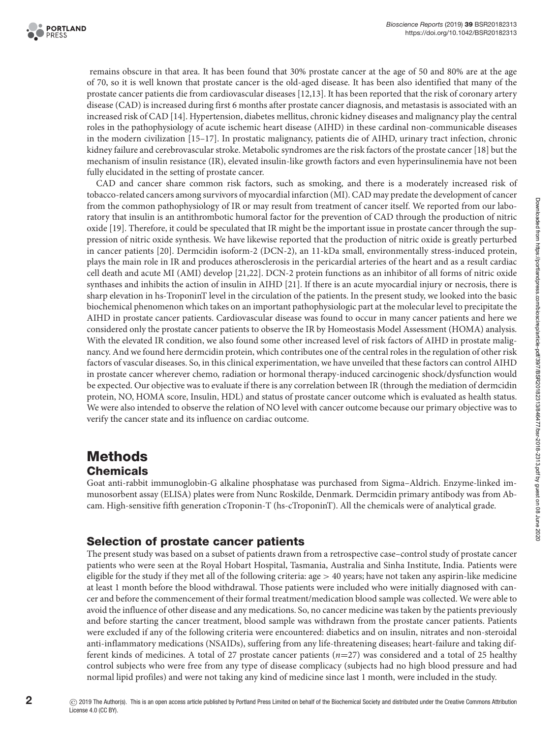

remains obscure in that area. It has been found that 30% prostate cancer at the age of 50 and 80% are at the age of 70, so it is well known that prostate cancer is the old-aged disease. It has been also identified that many of the prostate cancer patients die from cardiovascular diseases [\[12,](#page-7-2)[13\]](#page-7-3). It has been reported that the risk of coronary artery disease (CAD) is increased during first 6 months after prostate cancer diagnosis, and metastasis is associated with an increased risk of CAD [\[14\]](#page-7-4). Hypertension, diabetes mellitus, chronic kidney diseases and malignancy play the central roles in the pathophysiology of acute ischemic heart disease (AIHD) in these cardinal non-communicable diseases in the modern civilization [\[15–17\]](#page-7-5). In prostatic malignancy, patients die of AIHD, urinary tract infection, chronic kidney failure and cerebrovascular stroke. Metabolic syndromes are the risk factors of the prostate cancer [\[18\]](#page-7-6) but the mechanism of insulin resistance (IR), elevated insulin-like growth factors and even hyperinsulinemia have not been fully elucidated in the setting of prostate cancer.

CAD and cancer share common risk factors, such as smoking, and there is a moderately increased risk of tobacco-related cancers among survivors of myocardial infarction (MI). CAD may predate the development of cancer from the common pathophysiology of IR or may result from treatment of cancer itself. We reported from our laboratory that insulin is an antithrombotic humoral factor for the prevention of CAD through the production of nitric oxide [\[19\]](#page-7-7). Therefore, it could be speculated that IR might be the important issue in prostate cancer through the suppression of nitric oxide synthesis. We have likewise reported that the production of nitric oxide is greatly perturbed in cancer patients [\[20\]](#page-7-8). Dermcidin isoform-2 (DCN-2), an 11-kDa small, environmentally stress-induced protein, plays the main role in IR and produces atherosclerosis in the pericardial arteries of the heart and as a result cardiac cell death and acute MI (AMI) develop [\[21,](#page-7-9)[22\]](#page-7-10). DCN-2 protein functions as an inhibitor of all forms of nitric oxide synthases and inhibits the action of insulin in AIHD [\[21\]](#page-7-9). If there is an acute myocardial injury or necrosis, there is sharp elevation in hs-TroponinT level in the circulation of the patients. In the present study, we looked into the basic biochemical phenomenon which takes on an important pathophysiologic part at the molecular level to precipitate the AIHD in prostate cancer patients. Cardiovascular disease was found to occur in many cancer patients and here we considered only the prostate cancer patients to observe the IR by Homeostasis Model Assessment (HOMA) analysis. With the elevated IR condition, we also found some other increased level of risk factors of AIHD in prostate malignancy. And we found here dermcidin protein, which contributes one of the central roles in the regulation of other risk factors of vascular diseases. So, in this clinical experimentation, we have unveiled that these factors can control AIHD in prostate cancer wherever chemo, radiation or hormonal therapy-induced carcinogenic shock/dysfunction would be expected. Our objective was to evaluate if there is any correlation between IR (through the mediation of dermcidin protein, NO, HOMA score, Insulin, HDL) and status of prostate cancer outcome which is evaluated as health status. We were also intended to observe the relation of NO level with cancer outcome because our primary objective was to verify the cancer state and its influence on cardiac outcome.

# **Methods Chemicals**

Goat anti-rabbit immunoglobin-G alkaline phosphatase was purchased from Sigma–Aldrich. Enzyme-linked immunosorbent assay (ELISA) plates were from Nunc Roskilde, Denmark. Dermcidin primary antibody was from Abcam. High-sensitive fifth generation cTroponin-T (hs-cTroponinT). All the chemicals were of analytical grade.

### **Selection of prostate cancer patients**

The present study was based on a subset of patients drawn from a retrospective case–control study of prostate cancer patients who were seen at the Royal Hobart Hospital, Tasmania, Australia and Sinha Institute, India. Patients were eligible for the study if they met all of the following criteria:  $age > 40$  years; have not taken any aspirin-like medicine at least 1 month before the blood withdrawal. Those patients were included who were initially diagnosed with cancer and before the commencement of their formal treatment/medication blood sample was collected. We were able to avoid the influence of other disease and any medications. So, no cancer medicine was taken by the patients previously and before starting the cancer treatment, blood sample was withdrawn from the prostate cancer patients. Patients were excluded if any of the following criteria were encountered: diabetics and on insulin, nitrates and non-steroidal anti-inflammatory medications (NSAIDs), suffering from any life-threatening diseases; heart-failure and taking different kinds of medicines. A total of 27 prostate cancer patients (*n*=27) was considered and a total of 25 healthy control subjects who were free from any type of disease complicacy (subjects had no high blood pressure and had normal lipid profiles) and were not taking any kind of medicine since last 1 month, were included in the study.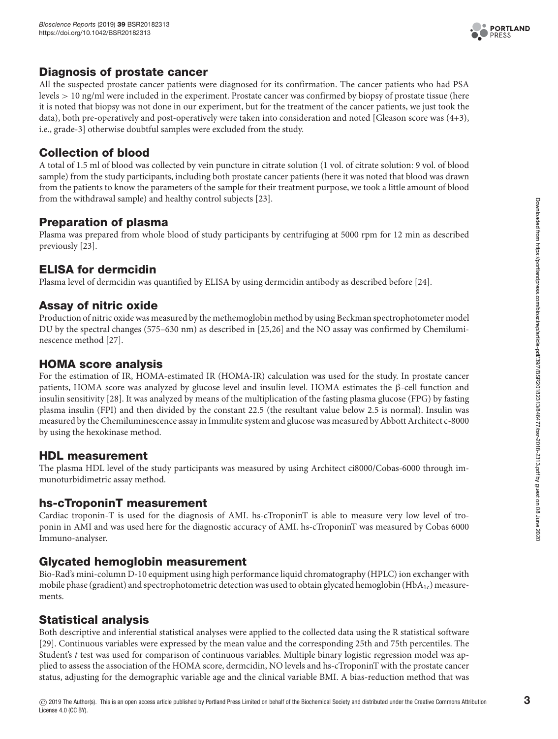

# **Diagnosis of prostate cancer**

All the suspected prostate cancer patients were diagnosed for its confirmation. The cancer patients who had PSA levels > 10 ng/ml were included in the experiment. Prostate cancer was confirmed by biopsy of prostate tissue (here it is noted that biopsy was not done in our experiment, but for the treatment of the cancer patients, we just took the data), both pre-operatively and post-operatively were taken into consideration and noted [Gleason score was (4+3), i.e., grade-3] otherwise doubtful samples were excluded from the study.

# **Collection of blood**

A total of 1.5 ml of blood was collected by vein puncture in citrate solution (1 vol. of citrate solution: 9 vol. of blood sample) from the study participants, including both prostate cancer patients (here it was noted that blood was drawn from the patients to know the parameters of the sample for their treatment purpose, we took a little amount of blood from the withdrawal sample) and healthy control subjects [\[23\]](#page-7-11).

# **Preparation of plasma**

Plasma was prepared from whole blood of study participants by centrifuging at 5000 rpm for 12 min as described previously [\[23\]](#page-7-11).

# **ELISA for dermcidin**

Plasma level of dermcidin was quantified by ELISA by using dermcidin antibody as described before [\[24\]](#page-7-12).

### **Assay of nitric oxide**

Production of nitric oxide was measured by the methemoglobin method by using Beckman spectrophotometer model DU by the spectral changes (575–630 nm) as described in [\[25,](#page-7-13)[26\]](#page-7-14) and the NO assay was confirmed by Chemiluminescence method [\[27\]](#page-7-15).

# **HOMA score analysis**

For the estimation of IR, HOMA-estimated IR (HOMA-IR) calculation was used for the study. In prostate cancer patients, HOMA score was analyzed by glucose level and insulin level. HOMA estimates the β-cell function and insulin sensitivity [\[28\]](#page-7-16). It was analyzed by means of the multiplication of the fasting plasma glucose (FPG) by fasting plasma insulin (FPI) and then divided by the constant 22.5 (the resultant value below 2.5 is normal). Insulin was measured by the Chemiluminescence assay in Immulite system and glucose was measured by Abbott Architect c-8000 by using the hexokinase method.

### **HDL measurement**

The plasma HDL level of the study participants was measured by using Architect ci8000/Cobas-6000 through immunoturbidimetric assay method.

# **hs-cTroponinT measurement**

Cardiac troponin-T is used for the diagnosis of AMI. hs-cTroponinT is able to measure very low level of troponin in AMI and was used here for the diagnostic accuracy of AMI. hs-cTroponinT was measured by Cobas 6000 Immuno-analyser.

# **Glycated hemoglobin measurement**

Bio-Rad's mini-column D-10 equipment using high performance liquid chromatography (HPLC) ion exchanger with mobile phase (gradient) and spectrophotometric detection was used to obtain glycated hemoglobin (HbA<sub>1c</sub>) measurements.

# **Statistical analysis**

Both descriptive and inferential statistical analyses were applied to the collected data using the R statistical software [\[29\]](#page-7-17). Continuous variables were expressed by the mean value and the corresponding 25th and 75th percentiles. The Student's *t* test was used for comparison of continuous variables. Multiple binary logistic regression model was applied to assess the association of the HOMA score, dermcidin, NO levels and hs-cTroponinT with the prostate cancer status, adjusting for the demographic variable age and the clinical variable BMI. A bias-reduction method that was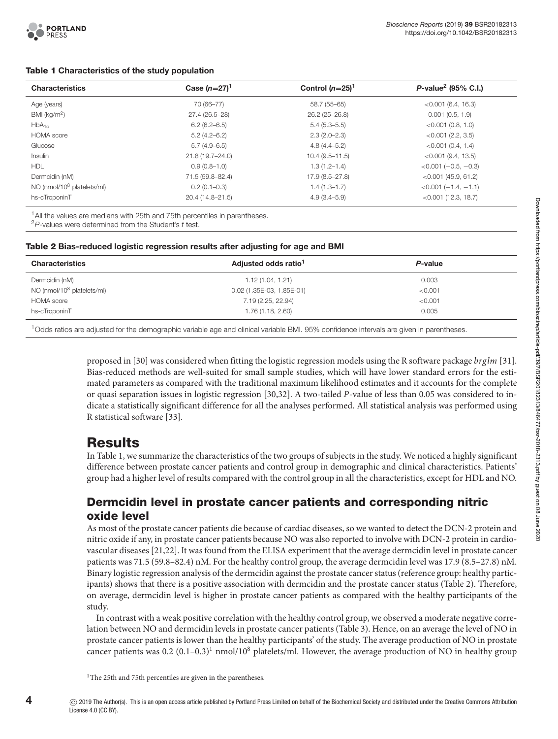#### **Table 1 Characteristics of the study population**

<span id="page-3-0"></span>

| <b>Characteristics</b>           | Case $(n=27)^{1}$ | Control $(n=25)^1$ | $P$ -value <sup>2</sup> (95% C.I.) |  |  |
|----------------------------------|-------------------|--------------------|------------------------------------|--|--|
| Age (years)                      | 70 (66-77)        | 58.7 (55-65)       | $< 0.001$ (6.4, 16.3)              |  |  |
| BMI ( $kg/m2$ )                  | 27.4 (26.5-28)    | 26.2 (25-26.8)     | 0.001(0.5, 1.9)                    |  |  |
| $HbA_{1c}$                       | $6.2(6.2-6.5)$    | $5.4(5.3 - 5.5)$   | $< 0.001$ (0.8, 1.0)               |  |  |
| <b>HOMA</b> score                | $5.2(4.2 - 6.2)$  | $2.3(2.0 - 2.3)$   | $< 0.001$ (2.2, 3.5)               |  |  |
| Glucose                          | $5.7(4.9-6.5)$    | $4.8(4.4 - 5.2)$   | $< 0.001$ (0.4, 1.4)               |  |  |
| Insulin                          | 21.8 (19.7-24.0)  | $10.4(9.5 - 11.5)$ | $< 0.001$ (9.4, 13.5)              |  |  |
| <b>HDL</b>                       | $0.9(0.8-1.0)$    | $1.3(1.2 - 1.4)$   | $< 0.001 (-0.5, -0.3)$             |  |  |
| Dermcidin (nM)                   | 71.5 (59.8-82.4)  | 17.9 (8.5-27.8)    | $< 0.001$ (45.9, 61.2)             |  |  |
| $NO$ (nmol/ $10^8$ platelets/ml) | $0.2(0.1 - 0.3)$  | $1.4(1.3 - 1.7)$   | $< 0.001 (-1.4, -1.1)$             |  |  |
| hs-cTroponinT                    | 20.4 (14.8-21.5)  | $4.9(3.4 - 5.9)$   | $< 0.001$ (12.3, 18.7)             |  |  |

<sup>1</sup> All the values are medians with 25th and 75th percentiles in parentheses.  $^{2}P$ -values were determined from the Student's t test.

#### **Table 2 Bias-reduced logistic regression results after adjusting for age and BMI**

<span id="page-3-1"></span>

| <b>Characteristics</b>                 | Adjusted odds ratio <sup>1</sup> | P-value |  |  |
|----------------------------------------|----------------------------------|---------|--|--|
| Dermcidin (nM)                         | 1.12(1.04, 1.21)                 | 0.003   |  |  |
| NO (nmol/10 <sup>8</sup> platelets/ml) | 0.02 (1.35E-03, 1.85E-01)        | < 0.001 |  |  |
| <b>HOMA</b> score                      | 7.19 (2.25, 22.94)               | < 0.001 |  |  |
| hs-cTroponinT                          | 1.76 (1.18, 2.60)                | 0.005   |  |  |
|                                        |                                  |         |  |  |

1Odds ratios are adjusted for the demographic variable age and clinical variable BMI. 95% confidence intervals are given in parentheses.

proposed in [\[30\]](#page-7-18) was considered when fitting the logistic regression models using the R software package *brglm* [\[31\]](#page-7-19). Bias-reduced methods are well-suited for small sample studies, which will have lower standard errors for the estimated parameters as compared with the traditional maximum likelihood estimates and it accounts for the complete or quasi separation issues in logistic regression [\[30](#page-7-18)[,32\]](#page-7-20). A two-tailed *P*-value of less than 0.05 was considered to indicate a statistically significant difference for all the analyses performed. All statistical analysis was performed using R statistical software [\[33\]](#page-7-21).

# **Results**

In [Table 1,](#page-3-0) we summarize the characteristics of the two groups of subjects in the study. We noticed a highly significant difference between prostate cancer patients and control group in demographic and clinical characteristics. Patients' group had a higher level of results compared with the control group in all the characteristics, except for HDL and NO.

### **Dermcidin level in prostate cancer patients and corresponding nitric oxide level**

As most of the prostate cancer patients die because of cardiac diseases, so we wanted to detect the DCN-2 protein and nitric oxide if any, in prostate cancer patients because NO was also reported to involve with DCN-2 protein in cardiovascular diseases [\[21](#page-7-9)[,22\]](#page-7-10). It was found from the ELISA experiment that the average dermcidin level in prostate cancer patients was 71.5 (59.8–82.4) nM. For the healthy control group, the average dermcidin level was 17.9 (8.5–27.8) nM. Binary logistic regression analysis of the dermcidin against the prostate cancer status (reference group: healthy partic-ipants) shows that there is a positive association with dermcidin and the prostate cancer status [\(Table 2\)](#page-3-1). Therefore, on average, dermcidin level is higher in prostate cancer patients as compared with the healthy participants of the study.

In contrast with a weak positive correlation with the healthy control group, we observed a moderate negative correlation between NO and dermcidin levels in prostate cancer patients [\(Table 3\)](#page-4-0). Hence, on an average the level of NO in prostate cancer patients is lower than the healthy participants' of the study. The average production of NO in prostate cancer patients was 0.2 (0.1–0.3)<sup>1</sup> nmol/10<sup>8</sup> platelets/ml. However, the average production of NO in healthy group

<span id="page-3-2"></span><sup>&</sup>lt;sup>1</sup>The 25th and 75th percentiles are given in the parentheses.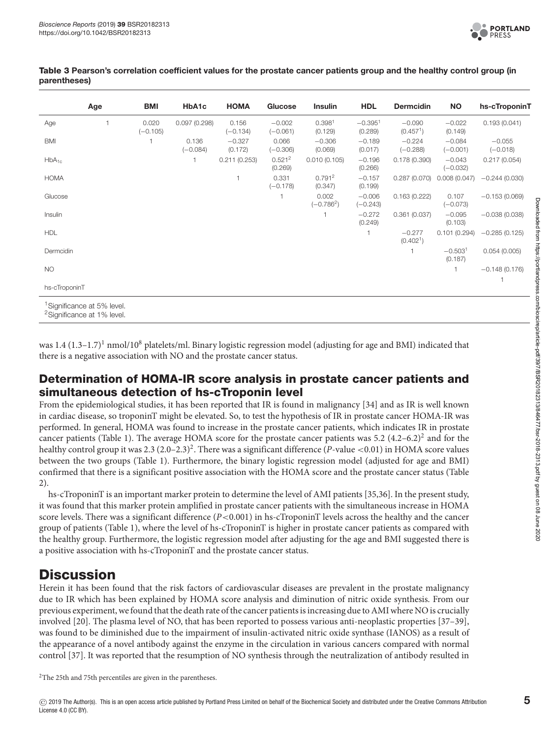

#### <span id="page-4-0"></span>**Table 3 Pearson's correlation coefficient values for the prostate cancer patients group and the healthy control group (in parentheses)**

|               | Age                                                                              | <b>BMI</b>          | HbA1c               | <b>HOMA</b>         | Glucose                       | <b>Insulin</b>                | <b>HDL</b>             | <b>Dermcidin</b>                  | <b>NO</b>              | hs-cTroponinT          |
|---------------|----------------------------------------------------------------------------------|---------------------|---------------------|---------------------|-------------------------------|-------------------------------|------------------------|-----------------------------------|------------------------|------------------------|
| Age           |                                                                                  | 0.020<br>$(-0.105)$ | 0.097(0.298)        | 0.156<br>$(-0.134)$ | $-0.002$<br>$(-0.061)$        | 0.398 <sup>1</sup><br>(0.129) | $-0.3951$<br>(0.289)   | $-0.090$<br>(0.457 <sup>1</sup> ) | $-0.022$<br>(0.149)    | 0.193(0.041)           |
| <b>BMI</b>    |                                                                                  |                     | 0.136<br>$(-0.084)$ | $-0.327$<br>(0.172) | 0.066<br>$(-0.306)$           | $-0.306$<br>(0.069)           | $-0.189$<br>(0.017)    | $-0.224$<br>$(-0.288)$            | $-0.084$<br>$(-0.001)$ | $-0.055$<br>$(-0.018)$ |
| $HbA_{1c}$    |                                                                                  |                     |                     | 0.211(0.253)        | 0.521 <sup>2</sup><br>(0.269) | 0.010(0.105)                  | $-0.196$<br>(0.266)    | 0.178(0.390)                      | $-0.043$<br>$(-0.032)$ | 0.217(0.054)           |
| <b>HOMA</b>   |                                                                                  |                     |                     | $\mathbf{1}$        | 0.331<br>$(-0.178)$           | 0.791 <sup>2</sup><br>(0.347) | $-0.157$<br>(0.199)    | 0.287(0.070)                      | 0.008(0.047)           | $-0.244(0.030)$        |
| Glucose       |                                                                                  |                     |                     |                     |                               | 0.002<br>$(-0.7862)$          | $-0.006$<br>$(-0.243)$ | 0.163(0.222)                      | 0.107<br>$(-0.073)$    | $-0.153(0.069)$        |
| Insulin       |                                                                                  |                     |                     |                     |                               |                               | $-0.272$<br>(0.249)    | 0.361(0.037)                      | $-0.095$<br>(0.103)    | $-0.038(0.038)$        |
| <b>HDL</b>    |                                                                                  |                     |                     |                     |                               |                               |                        | $-0.277$<br>(0.402 <sup>1</sup> ) | 0.101(0.294)           | $-0.285(0.125)$        |
| Dermcidin     |                                                                                  |                     |                     |                     |                               |                               |                        |                                   | $-0.5031$<br>(0.187)   | 0.054(0.005)           |
| <b>NO</b>     |                                                                                  |                     |                     |                     |                               |                               |                        |                                   | 1.                     | $-0.148(0.176)$        |
| hs-cTroponinT |                                                                                  |                     |                     |                     |                               |                               |                        |                                   |                        |                        |
|               | <sup>1</sup> Significance at 5% level.<br><sup>2</sup> Significance at 1% level. |                     |                     |                     |                               |                               |                        |                                   |                        |                        |

was  $1.4$   $(1.3-1.7)^1$  nmol/ $10^8$  platelets/ml. Binary logistic regression model (adjusting for age and BMI) indicated that there is a negative association with NO and the prostate cancer status.

### **Determination of HOMA-IR score analysis in prostate cancer patients and simultaneous detection of hs-cTroponin level**

From the epidemiological studies, it has been reported that IR is found in malignancy [\[34\]](#page-7-22) and as IR is well known in cardiac disease, so troponinT might be elevated. So, to test the hypothesis of IR in prostate cancer HOMA-IR was performed. In general, HOMA was found to increase in the prostate cancer patients, which indicates IR in prostate cancer patients [\(Table 1\)](#page-3-0). The average HOMA score for the prostate cancer patients was  $5.2$  (4.2–6.2)<sup>2</sup> and for the healthy control group it was 2.3  $(2.0-2.3)^2$ . There was a significant difference (*P*-value <0.01) in HOMA score values between the two groups [\(Table 1\)](#page-3-0). Furthermore, the binary logistic regression model (adjusted for age and BMI) [confirmed that there is a significant positive association with the HOMA score and the prostate cancer status \(Table](#page-3-1) 2).

hs-cTroponinT is an important marker protein to determine the level of AMI patients [\[35](#page-7-23)[,36\]](#page-7-24). In the present study, it was found that this marker protein amplified in prostate cancer patients with the simultaneous increase in HOMA score levels. There was a significant difference (*P*<0.001) in hs-cTroponinT levels across the healthy and the cancer group of patients [\(Table 1\)](#page-3-0), where the level of hs-cTroponinT is higher in prostate cancer patients as compared with the healthy group. Furthermore, the logistic regression model after adjusting for the age and BMI suggested there is a positive association with hs-cTroponinT and the prostate cancer status.

# **Discussion**

Herein it has been found that the risk factors of cardiovascular diseases are prevalent in the prostate malignancy due to IR which has been explained by HOMA score analysis and diminution of nitric oxide synthesis. From our previous experiment, we found that the death rate of the cancer patients is increasing due to AMI where NO is crucially involved [\[20\]](#page-7-8). The plasma level of NO, that has been reported to possess various anti-neoplastic properties [\[37–39\]](#page-7-25), was found to be diminished due to the impairment of insulin-activated nitric oxide synthase (IANOS) as a result of the appearance of a novel antibody against the enzyme in the circulation in various cancers compared with normal control [\[37\]](#page-7-25). It was reported that the resumption of NO synthesis through the neutralization of antibody resulted in

<span id="page-4-1"></span><sup>2</sup>The 25th and 75th percentiles are given in the parentheses.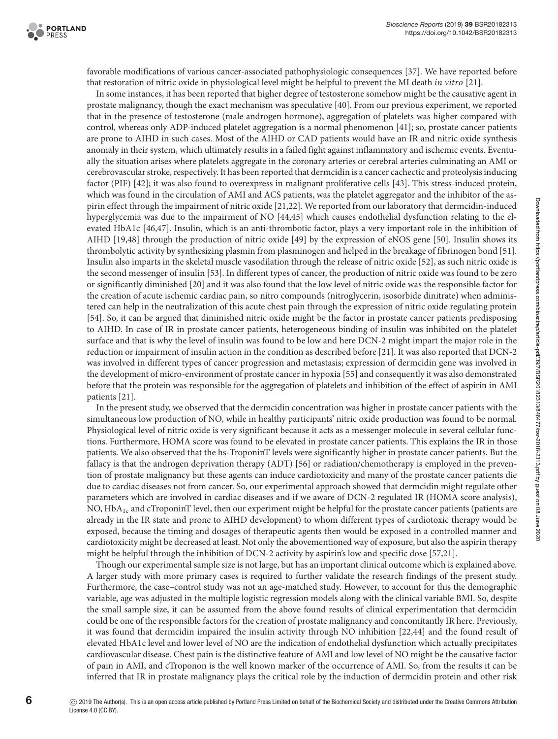favorable modifications of various cancer-associated pathophysiologic consequences [\[37\]](#page-7-25). We have reported before that restoration of nitric oxide in physiological level might be helpful to prevent the MI death *in vitro* [\[21\]](#page-7-9).

In some instances, it has been reported that higher degree of testosterone somehow might be the causative agent in prostate malignancy, though the exact mechanism was speculative [\[40\]](#page-8-0). From our previous experiment, we reported that in the presence of testosterone (male androgen hormone), aggregation of platelets was higher compared with control, whereas only ADP-induced platelet aggregation is a normal phenomenon [\[41\]](#page-8-1); so, prostate cancer patients are prone to AIHD in such cases. Most of the AIHD or CAD patients would have an IR and nitric oxide synthesis anomaly in their system, which ultimately results in a failed fight against inflammatory and ischemic events. Eventually the situation arises where platelets aggregate in the coronary arteries or cerebral arteries culminating an AMI or cerebrovascular stroke, respectively. It has been reported that dermcidin is a cancer cachectic and proteolysis inducing factor (PIF) [\[42\]](#page-8-2); it was also found to overexpress in malignant proliferative cells [\[43\]](#page-8-3). This stress-induced protein, which was found in the circulation of AMI and ACS patients, was the platelet aggregator and the inhibitor of the aspirin effect through the impairment of nitric oxide [\[21,](#page-7-9)[22\]](#page-7-10). We reported from our laboratory that dermcidin-induced hyperglycemia was due to the impairment of NO [\[44,](#page-8-4)[45\]](#page-8-5) which causes endothelial dysfunction relating to the elevated HbA1c [\[46,](#page-8-6)[47\]](#page-8-7). Insulin, which is an anti-thrombotic factor, plays a very important role in the inhibition of AIHD [\[19,](#page-7-7)[48\]](#page-8-8) through the production of nitric oxide [\[49\]](#page-8-9) by the expression of eNOS gene [\[50\]](#page-8-10). Insulin shows its thrombolytic activity by synthesizing plasmin from plasminogen and helped in the breakage of fibrinogen bond [\[51\]](#page-8-11). Insulin also imparts in the skeletal muscle vasodilation through the release of nitric oxide [\[52\]](#page-8-12), as such nitric oxide is the second messenger of insulin [\[53\]](#page-8-13). In different types of cancer, the production of nitric oxide was found to be zero or significantly diminished [\[20\]](#page-7-8) and it was also found that the low level of nitric oxide was the responsible factor for the creation of acute ischemic cardiac pain, so nitro compounds (nitroglycerin, isosorbide dinitrate) when administered can help in the neutralization of this acute chest pain through the expression of nitric oxide regulating protein [\[54\]](#page-8-14). So, it can be argued that diminished nitric oxide might be the factor in prostate cancer patients predisposing to AIHD. In case of IR in prostate cancer patients, heterogeneous binding of insulin was inhibited on the platelet surface and that is why the level of insulin was found to be low and here DCN-2 might impart the major role in the reduction or impairment of insulin action in the condition as described before [\[21\]](#page-7-9). It was also reported that DCN-2 was involved in different types of cancer progression and metastasis; expression of dermcidin gene was involved in the development of micro-environment of prostate cancer in hypoxia [\[55\]](#page-8-15) and consequently it was also demonstrated before that the protein was responsible for the aggregation of platelets and inhibition of the effect of aspirin in AMI patients [\[21\]](#page-7-9).

In the present study, we observed that the dermcidin concentration was higher in prostate cancer patients with the simultaneous low production of NO, while in healthy participants' nitric oxide production was found to be normal. Physiological level of nitric oxide is very significant because it acts as a messenger molecule in several cellular functions. Furthermore, HOMA score was found to be elevated in prostate cancer patients. This explains the IR in those patients. We also observed that the hs-TroponinT levels were significantly higher in prostate cancer patients. But the fallacy is that the androgen deprivation therapy (ADT) [\[56\]](#page-8-16) or radiation/chemotherapy is employed in the prevention of prostate malignancy but these agents can induce cardiotoxicity and many of the prostate cancer patients die due to cardiac diseases not from cancer. So, our experimental approach showed that dermcidin might regulate other parameters which are involved in cardiac diseases and if we aware of DCN-2 regulated IR (HOMA score analysis), NO,  $HbA_{1c}$  and cTroponinT level, then our experiment might be helpful for the prostate cancer patients (patients are already in the IR state and prone to AIHD development) to whom different types of cardiotoxic therapy would be exposed, because the timing and dosages of therapeutic agents then would be exposed in a controlled manner and cardiotoxicity might be decreased at least. Not only the abovementioned way of exposure, but also the aspirin therapy might be helpful through the inhibition of DCN-2 activity by aspirin's low and specific dose [\[57](#page-8-17)[,21\]](#page-7-9).

Though our experimental sample size is not large, but has an important clinical outcome which is explained above. A larger study with more primary cases is required to further validate the research findings of the present study. Furthermore, the case–control study was not an age-matched study. However, to account for this the demographic variable, age was adjusted in the multiple logistic regression models along with the clinical variable BMI. So, despite the small sample size, it can be assumed from the above found results of clinical experimentation that dermcidin could be one of the responsible factors for the creation of prostate malignancy and concomitantly IR here. Previously, it was found that dermcidin impaired the insulin activity through NO inhibition [\[22,](#page-7-10)[44\]](#page-8-4) and the found result of elevated HbA1c level and lower level of NO are the indication of endothelial dysfunction which actually precipitates cardiovascular disease. Chest pain is the distinctive feature of AMI and low level of NO might be the causative factor of pain in AMI, and cTroponon is the well known marker of the occurrence of AMI. So, from the results it can be inferred that IR in prostate malignancy plays the critical role by the induction of dermcidin protein and other risk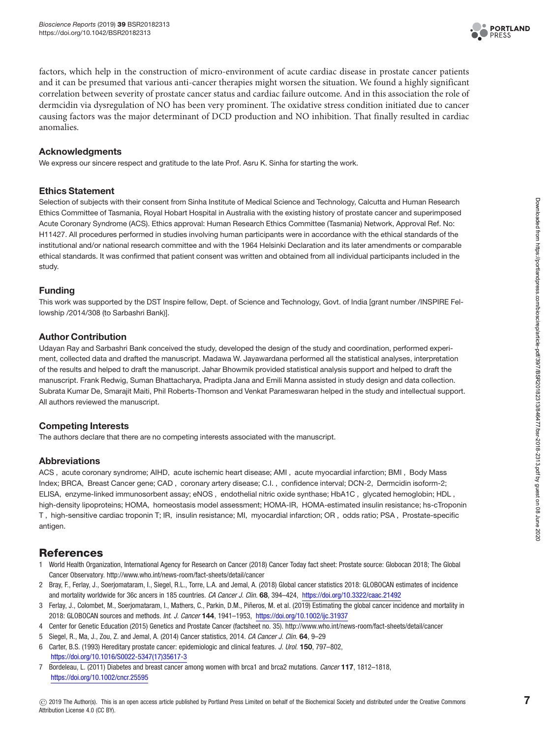

factors, which help in the construction of micro-environment of acute cardiac disease in prostate cancer patients and it can be presumed that various anti-cancer therapies might worsen the situation. We found a highly significant correlation between severity of prostate cancer status and cardiac failure outcome. And in this association the role of dermcidin via dysregulation of NO has been very prominent. The oxidative stress condition initiated due to cancer causing factors was the major determinant of DCD production and NO inhibition. That finally resulted in cardiac anomalies.

#### **Acknowledgments**

We express our sincere respect and gratitude to the late Prof. Asru K. Sinha for starting the work.

#### **Ethics Statement**

Selection of subjects with their consent from Sinha Institute of Medical Science and Technology, Calcutta and Human Research Ethics Committee of Tasmania, Royal Hobart Hospital in Australia with the existing history of prostate cancer and superimposed Acute Coronary Syndrome (ACS). Ethics approval: Human Research Ethics Committee (Tasmania) Network, Approval Ref. No: H11427. All procedures performed in studies involving human participants were in accordance with the ethical standards of the institutional and/or national research committee and with the 1964 Helsinki Declaration and its later amendments or comparable ethical standards. It was confirmed that patient consent was written and obtained from all individual participants included in the study.

#### **Funding**

This work was supported by the DST Inspire fellow, Dept. of Science and Technology, Govt. of India [grant number /INSPIRE Fellowship /2014/308 (to Sarbashri Bank)].

#### **Author Contribution**

Udayan Ray and Sarbashri Bank conceived the study, developed the design of the study and coordination, performed experiment, collected data and drafted the manuscript. Madawa W. Jayawardana performed all the statistical analyses, interpretation of the results and helped to draft the manuscript. Jahar Bhowmik provided statistical analysis support and helped to draft the manuscript. Frank Redwig, Suman Bhattacharya, Pradipta Jana and Emili Manna assisted in study design and data collection. Subrata Kumar De, Smarajit Maiti, Phil Roberts-Thomson and Venkat Parameswaran helped in the study and intellectual support. All authors reviewed the manuscript.

#### **Competing Interests**

The authors declare that there are no competing interests associated with the manuscript.

#### **Abbreviations**

ACS , acute coronary syndrome; AIHD, acute ischemic heart disease; AMI , acute myocardial infarction; BMI , Body Mass Index; BRCA, Breast Cancer gene; CAD , coronary artery disease; C.I. , confidence interval; DCN-2, Dermcidin isoform-2; ELISA, enzyme-linked immunosorbent assay; eNOS , endothelial nitric oxide synthase; HbA1C , glycated hemoglobin; HDL , high-density lipoproteins; HOMA, homeostasis model assessment; HOMA-IR, HOMA-estimated insulin resistance; hs-cTroponin T , high-sensitive cardiac troponin T; IR, insulin resistance; MI, myocardial infarction; OR , odds ratio; PSA , Prostate-specific antigen.

#### **References**

- <span id="page-6-0"></span>1 World Health Organization, International Agency for Research on Cancer (2018) Cancer Today fact sheet: Prostate source: Globocan 2018; The Global Cancer Observatory. http://www.who.int/news-room/fact-sheets/detail/cancer
- 2 Bray, F., Ferlay, J., Soerjomataram, I., Siegel, R.L., Torre, L.A. and Jemal, A. (2018) Global cancer statistics 2018: GLOBOCAN estimates of incidence and mortality worldwide for 36c ancers in 185 countries. CA Cancer J. Clin. **68**, 394–424, <https://doi.org/10.3322/caac.21492>
- 3 Ferlay, J., Colombet, M., Soerjomataram, I., Mathers, C., Parkin, D.M., Piñeros, M. et al. (2019) Estimating the global cancer incidence and mortality in 2018: GLOBOCAN sources and methods. Int. J. Cancer **144**, 1941–1953, <https://doi.org/10.1002/ijc.31937>
- <span id="page-6-1"></span>4 Center for Genetic Education (2015) Genetics and Prostate Cancer (factsheet no. 35). http://www.who.int/news-room/fact-sheets/detail/cancer
- <span id="page-6-2"></span>5 Siegel, R., Ma, J., Zou, Z. and Jemal, A. (2014) Cancer statistics, 2014. CA Cancer J. Clin. **64**, 9–29
- <span id="page-6-3"></span>6 Carter, B.S. (1993) Hereditary prostate cancer: epidemiologic and clinical features. J. Urol. **150**, 797–802, [https://doi.org/10.1016/S0022-5347\(17\)35617-3](https://doi.org/10.1016/S0022-5347(17)35617-3)
- <span id="page-6-4"></span>7 Bordeleau, L. (2011) Diabetes and breast cancer among women with brca1 and brca2 mutations. Cancer **117**, 1812–1818, <https://doi.org/10.1002/cncr.25595>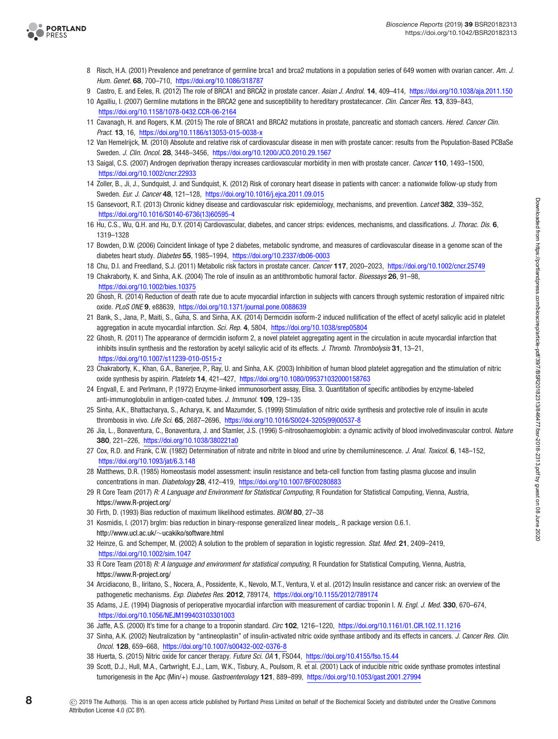

- <span id="page-7-0"></span>8 Risch, H.A. (2001) Prevalence and penetrance of germline brca1 and brca2 mutations in a population series of 649 women with ovarian cancer. Am. J. Hum. Genet. **68**, 700–710, <https://doi.org/10.1086/318787>
- <span id="page-7-1"></span>9 Castro, E. and Eeles, R. (2012) The role of BRCA1 and BRCA2 in prostate cancer. Asian J. Androl. **14**, 409–414, <https://doi.org/10.1038/aja.2011.150>
- 10 Agalliu, I. (2007) Germline mutations in the BRCA2 gene and susceptibility to hereditary prostatecancer. Clin. Cancer Res. **13**, 839–843, <https://doi.org/10.1158/1078-0432.CCR-06-2164>
- 11 Cavanagh, H. and Rogers, K.M. (2015) The role of BRCA1 and BRCA2 mutations in prostate, pancreatic and stomach cancers. Hered. Cancer Clin. Pract. **13**, 16, <https://doi.org/10.1186/s13053-015-0038-x>
- <span id="page-7-2"></span>12 Van Hemelrijck, M. (2010) Absolute and relative risk of cardiovascular disease in men with prostate cancer: results from the Population-Based PCBaSe Sweden. J. Clin. Oncol. **28**, 3448–3456, <https://doi.org/10.1200/JCO.2010.29.1567>
- <span id="page-7-3"></span>13 Saigal, C.S. (2007) Androgen deprivation therapy increases cardiovascular morbidity in men with prostate cancer. Cancer **110**, 1493–1500, <https://doi.org/10.1002/cncr.22933>
- <span id="page-7-4"></span>14 Zoller, B., Ji, J., Sundquist, J. and Sundquist, K. (2012) Risk of coronary heart disease in patients with cancer: a nationwide follow-up study from Sweden. Eur. J. Cancer **48**, 121–128, <https://doi.org/10.1016/j.ejca.2011.09.015>
- <span id="page-7-5"></span>15 Gansevoort, R.T. (2013) Chronic kidney disease and cardiovascular risk: epidemiology, mechanisms, and prevention. Lancet **382**, 339–352, [https://doi.org/10.1016/S0140-6736\(13\)60595-4](https://doi.org/10.1016/S0140-6736(13)60595-4)
- 16 Hu, C.S., Wu, Q.H. and Hu, D.Y. (2014) Cardiovascular, diabetes, and cancer strips: evidences, mechanisms, and classifications. J. Thorac. Dis. **6**, 1319–1328
- 17 Bowden, D.W. (2006) Coincident linkage of type 2 diabetes, metabolic syndrome, and measures of cardiovascular disease in a genome scan of the diabetes heart study. Diabetes **55**, 1985–1994, <https://doi.org/10.2337/db06-0003>
- <span id="page-7-6"></span>18 Chu, D.I. and Freedland, S.J. (2011) Metabolic risk factors in prostate cancer. Cancer **117**, 2020–2023, <https://doi.org/10.1002/cncr.25749>
- <span id="page-7-7"></span>19 Chakraborty, K. and Sinha, A.K. (2004) The role of insulin as an antithrombotic humoral factor. Bioessays **26**, 91–98, <https://doi.org/10.1002/bies.10375>
- <span id="page-7-8"></span>20 Ghosh, R. (2014) Reduction of death rate due to acute myocardial infarction in subjects with cancers through systemic restoration of impaired nitric oxide. PLoS ONE **9**, e88639, <https://doi.org/10.1371/journal.pone.0088639>
- <span id="page-7-9"></span>21 Bank, S., Jana, P., Maiti, S., Guha, S. and Sinha, A.K. (2014) Dermcidin isoform-2 induced nullification of the effect of acetyl salicylic acid in platelet aggregation in acute myocardial infarction. Sci. Rep. **4**, 5804, <https://doi.org/10.1038/srep05804>
- <span id="page-7-10"></span>22 Ghosh, R. (2011) The appearance of dermcidin isoform 2, a novel platelet aggregating agent in the circulation in acute myocardial infarction that inhibits insulin synthesis and the restoration by acetyl salicylic acid of its effects. J. Thromb. Thrombolysis **31**, 13–21, <https://doi.org/10.1007/s11239-010-0515-z>
- <span id="page-7-11"></span>23 Chakraborty, K., Khan, G.A., Banerjee, P., Ray, U. and Sinha, A.K. (2003) Inhibition of human blood platelet aggregation and the stimulation of nitric oxide synthesis by aspirin. Platelets **14**, 421–427, <https://doi.org/10.1080/095371032000158763>
- <span id="page-7-12"></span>24 Engvall, E. and Perlmann, P. (1972) Enzyme-linked immunosorbent assay, Elisa. 3. Quantitation of specific antibodies by enzyme-labeled anti-immunoglobulin in antigen-coated tubes. J. Immunol. **109**, 129–135
- <span id="page-7-13"></span>25 Sinha, A.K., Bhattacharya, S., Acharya, K. and Mazumder, S. (1999) Stimulation of nitric oxide synthesis and protective role of insulin in acute thrombosis in vivo. Life Sci. **65**, 2687–2696, [https://doi.org/10.1016/S0024-3205\(99\)00537-8](https://doi.org/10.1016/S0024-3205(99)00537-8)
- <span id="page-7-14"></span>26 Jia, L., Bonaventura, C., Bonaventura, J. and Stamler, J.S. (1996) S-nitrosohaemoglobin: a dynamic activity of blood involvedinvascular control. Nature **380**, 221–226, <https://doi.org/10.1038/380221a0>
- <span id="page-7-15"></span>27 Cox, R.D. and Frank, C.W. (1982) Determination of nitrate and nitrite in blood and urine by chemiluminescence. J. Anal. Toxicol. **6**, 148–152, <https://doi.org/10.1093/jat/6.3.148>
- <span id="page-7-16"></span>28 Matthews, D.R. (1985) Homeostasis model assessment: insulin resistance and beta-cell function from fasting plasma glucose and insulin concentrations in man. Diabetology **28**, 412–419, <https://doi.org/10.1007/BF00280883>
- <span id="page-7-17"></span>29 R Core Team (2017) R: A Language and Environment for Statistical Computing, R Foundation for Statistical Computing, Vienna, Austria, <https://www.R-project.org/>
- <span id="page-7-18"></span>30 Firth, D. (1993) Bias reduction of maximum likelihood estimates. BIOM **80**, 27–38
- <span id="page-7-19"></span>31 Kosmidis, I. (2017) brglm: bias reduction in binary-response generalized linear models . R package version 0.6.1. http://www.ucl.ac.uk/∼[ucakiko/software.html](http://www.ucl.ac.uk/ ucakiko/software.html)
- <span id="page-7-20"></span>32 Heinze, G. and Schemper, M. (2002) A solution to the problem of separation in logistic regression. Stat. Med. **21**, 2409–2419, <https://doi.org/10.1002/sim.1047>
- <span id="page-7-21"></span>33 R Core Team (2018) R: A language and environment for statistical computing, R Foundation for Statistical Computing, Vienna, Austria, <https://www.R-project.org/>
- <span id="page-7-22"></span>34 Arcidiacono, B., Iiritano, S., Nocera, A., Possidente, K., Nevolo, M.T., Ventura, V. et al. (2012) Insulin resistance and cancer risk: an overview of the pathogenetic mechanisms. Exp. Diabetes Res. **2012**, 789174, <https://doi.org/10.1155/2012/789174>
- <span id="page-7-23"></span>35 Adams, J.E. (1994) Diagnosis of perioperative myocardial infarction with measurement of cardiac troponin I. N. Engl. J. Med. **330**, 670–674, <https://doi.org/10.1056/NEJM199403103301003>
- <span id="page-7-24"></span>36 Jaffe, A.S. (2000) It's time for a change to a troponin standard. Circ **102**, 1216–1220, <https://doi.org/10.1161/01.CIR.102.11.1216>
- <span id="page-7-25"></span>37 Sinha, A.K. (2002) Neutralization by "antineoplastin" of insulin-activated nitric oxide synthase antibody and its effects in cancers. J. Cancer Res. Clin. Oncol. **128**, 659–668, <https://doi.org/10.1007/s00432-002-0376-8>
- 38 Huerta, S. (2015) Nitric oxide for cancer therapy. Future Sci. OA **1**, FSO44, <https://doi.org/10.4155/fso.15.44>
- 39 Scott, D.J., Hull, M.A., Cartwright, E.J., Lam, W.K., Tisbury, A., Poulsom, R. et al. (2001) Lack of inducible nitric oxide synthase promotes intestinal tumorigenesis in the Apc (Min/+) mouse. Gastroenterology **121**, 889–899, <https://doi.org/10.1053/gast.2001.27994>